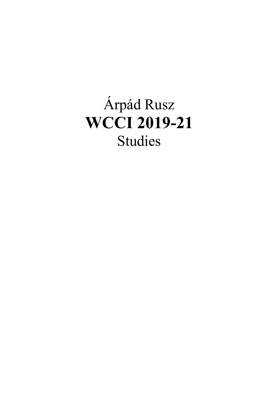## Árpád Rusz **WCCI 2019-21** Studies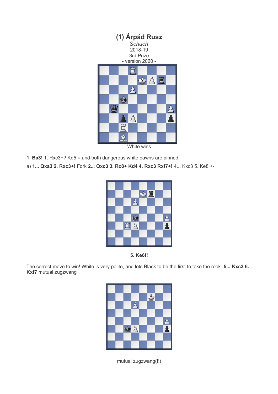

White wins

- **1. Ba3!** 1. Rxc3+? Kd5 = and both dangerous white pawns are pinned.
- a) **1... Qxa3 2. Rxc3+!** Fork **2... Qxc3 3. Rc8+ Kd4 4. Rxc3 Rxf7+!** 4... Kxc3 5. Ke8 +-





The correct move to win! White is very polite, and lets Black to be the first to take the rook. **5... Kxc3 6. Kxf7** mutual zugzwang



mutual zugzwang(!!)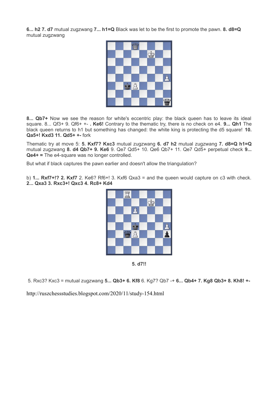**6... h2 7. d7** mutual zugzwang **7... h1=Q** Black was let to be the first to promote the pawn. **8. d8=Q**  mutual zugzwang



**8... Qb7+** Now we see the reason for white's eccentric play: the black queen has to leave its ideal square. 8... Qf3+ 9. Qf6+ +- **. Ke6!** Contrary to the thematic try, there is no check on e4. **9... Qh1** The black queen returns to h1 but something has changed: the white king is protecting the d5 square! **10. Qa5+! Kxd3 11. Qd5+ +-** fork

Thematic try at move 5: **5. Kxf7? Kxc3** mutual zugzwang **6. d7 h2** mutual zugzwang **7. d8=Q h1=Q** mutual zugzwang **8. d4 Qb7+ 9. Ke6** 9. Qe7 Qd5+ 10. Qe6 Qb7+ 11. Qe7 Qd5+ perpetual check **9... Qe4+ =** The e4-square was no longer controlled.

But what if black captures the pawn earlier and doesn't allow the triangulation?

b) **1... Rxf7+!? 2. Kxf7** 2. Ke6? Rf6+! 3. Kxf6 Qxa3 = and the queen would capture on c3 with check. **2... Qxa3 3. Rxc3+! Qxc3 4. Rc8+ Kd4**



**5. d7!!**

5. Rxc3? Kxc3 = mutual zugzwang **5... Qb3+ 6. Kf8** 6. Kg7? Qb7 -+ **6... Qb4+ 7. Kg8 Qb3+ 8. Kh8! +-**

http://ruszchessstudies.blogspot.com/2020/11/study-154.html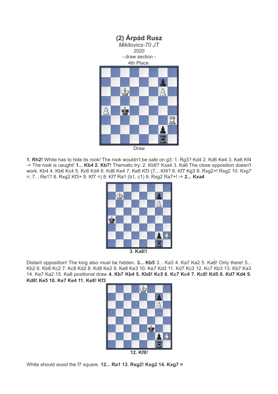

**1. Rh2!** White has to hide its rook! The rook wouldn't be safe on g3: 1. Rg3? Kd4 2. Kd6 Ke4 3. Ke6 Kf4 -+ The rook is caught! **1... Kb4 2. Kb7!** Thematic try: 2. Kb6? Kxa4 3. Ka6 The close opposition doesn't work. Kb4 4. Kb6 Kc4 5. Kc6 Kd4 6. Kd6 Ke4 7. Ke6 Kf3 (7... Kf4? 8. Kf7 Kg3 9. Rxg2+! Rxg2 10. Kxg7 =; 7... Re1? 8. Rxg2 Kf3+ 9. Kf7 =) 8. Kf7 Ra1 (b1, c1) 9. Rxg2 Ra7+! -+ **2... Kxa4**



**3. Ka8!!** 

Distant opposition! The king also must be hidden. **3... Kb5** 3... Ka3 4. Ka7 Ka2 5. Ka8! Only there! 5... Kb2 6. Kb8 Kc2 7. Kc8 Kd2 8. Kd8 Ke2 9. Ke8 Ke3 10. Ke7 Kd3 11. Kd7 Kc3 12. Kc7 Kb3 13. Kb7 Ka3 14. Ka7 Ka2 15. Ka8 positional draw **4. Kb7 Kb4 5. Kb8! Kc5 6. Kc7 Kc4 7. Kc8! Kd5 8. Kd7 Kd4 9. Kd8! Ke5 10. Ke7 Ke4 11. Ke8! Kf3**



White should avoid the f7 square. **12... Ra1 13. Rxg2! Kxg2 14. Kxg7 =**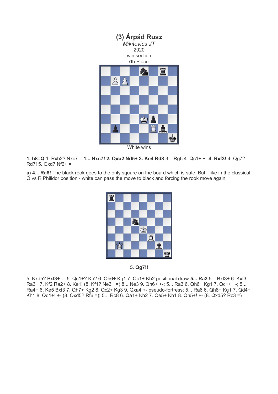

White wins

**1. b8=Q** 1. Rxb2? Nxc7 = **1... Nxc7! 2. Qxb2 Nd5+ 3. Ke4 Rd8** 3... Rg5 4. Qc1+ +- **4. Rxf3!** 4. Qg7?  $Rd7! 5. Qxd7 Nf6+ =$ 

**a) 4... Ra8!** The black rook goes to the only square on the board which is safe. But - like in the classical Q vs R Philidor position - white can pass the move to black and forcing the rook move again.



**5. Qg7!!**

5. Kxd5? Bxf3+ =; 5. Qc1+? Kh2 6. Qh6+ Kg1 7. Qc1+ Kh2 positional draw **5... Ra2** 5... Bxf3+ 6. Kxf3 Ra3+ 7. Kf2 Ra2+ 8. Ke1! (8. Kf1? Ne3+ =) 8... Ne3 9. Qh6+ +-; 5... Ra3 6. Qh6+ Kg1 7. Qc1+ +-; 5... Ra4+ 6. Ke5 Bxf3 7. Qh7+ Kg2 8. Qc2+ Kg3 9. Qxa4 +- pseudo-fortress; 5... Ra6 6. Qh8+ Kg1 7. Qd4+ Kh1 8. Qd1+! +- (8. Qxd5? Rf6 =); 5... Rc8 6. Qa1+ Kh2 7. Qe5+ Kh1 8. Qh5+! +- (8. Qxd5? Rc3 =)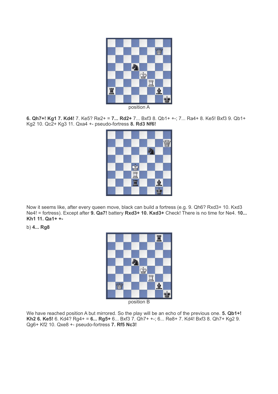

position A

**6. Qh7+! Kg1 7. Kd4!** 7. Ke5? Re2+ = **7... Rd2+** 7... Bxf3 8. Qb1+ +-; 7... Ra4+ 8. Ke5! Bxf3 9. Qb1+ Kg2 10. Qc2+ Kg3 11. Qxa4 +- pseudo-fortress **8. Rd3 Nf6!**

|  |                    |  |               | 88888 |
|--|--------------------|--|---------------|-------|
|  |                    |  |               |       |
|  |                    |  |               |       |
|  |                    |  |               |       |
|  | <b>Lui (Lui 0)</b> |  |               |       |
|  |                    |  | $\frac{1}{2}$ |       |
|  |                    |  |               |       |

Now it seems like, after every queen move, black can build a fortress (e.g. 9. Qh6? Rxd3+ 10. Kxd3 Ne4! = fortress). Except after **9. Qa7!** battery **Rxd3+ 10. Kxd3+** Check! There is no time for Ne4. **10... Kh1 11. Qa1+ +-**

b) **4... Rg8**



position B

We have reached position A but mirrored. So the play will be an echo of the previous one. **5. Qb1+! Kh2 6. Ke5!** 6. Kd4? Rg4+ = **6... Rg5+** 6... Bxf3 7. Qh7+ +-; 6... Re8+ 7. Kd4! Bxf3 8. Qh7+ Kg2 9. Qg6+ Kf2 10. Qxe8 +- pseudo-fortress **7. Rf5 Nc3!**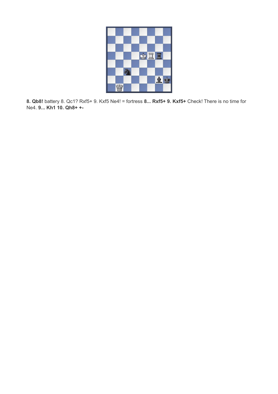

**8. Qb8!** battery 8. Qc1? Rxf5+ 9. Kxf5 Ne4! = fortress **8... Rxf5+ 9. Kxf5+** Check! There is no time for Ne4. **9... Kh1 10. Qh8+ +-**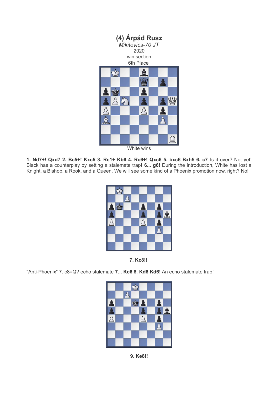

White wins

**1. Nd7+! Qxd7 2. Bc5+! Kxc5 3. Rc1+ Kb6 4. Rc6+! Qxc6 5. bxc6 Bxh5 6. c7** Is it over? Not yet! Black has a counterplay by setting a stalemate trap! **6... g6!** During the introduction, White has lost a Knight, a Bishop, a Rook, and a Queen. We will see some kind of a Phoenix promotion now, right? No!





"Anti-Phoenix" 7. c8=Q? echo stalemate **7... Kc6 8. Kd8 Kd6!** An echo stalemate trap!



**9. Ke8!!**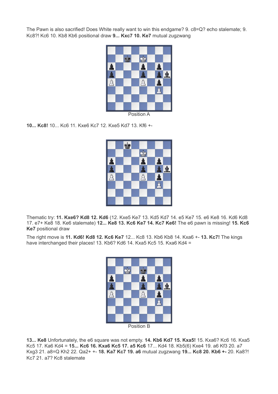The Pawn is also sacrified! Does White really want to win this endgame? 9. c8=Q? echo stalemate; 9. Kc8?! Kc6 10. Kb8 Kb6 positional draw **9... Kxc7 10. Ke7** mutual zugzwang



Position A

**10... Kc8!** 10... Kc6 11. Kxe6 Kc7 12. Kxe5 Kd7 13. Kf6 +-



Thematic try: **11. Kxe6? Kd8 12. Kd6** (12. Kxe5 Ke7 13. Kd5 Kd7 14. e5 Ke7 15. e6 Ke8 16. Kd6 Kd8 17. e7+ Ke8 18. Ke6 stalemate) **12... Ke8 13. Kc6 Ke7 14. Kc7 Ke6!** The e6 pawn is missing! **15. Kc6 Ke7** positional draw

The right move is **11. Kd6! Kd8 12. Kc6 Ke7** 12... Kc8 13. Kb6 Kb8 14. Kxa6 +- **13. Kc7!** The kings have interchanged their places! 13. Kb6? Kd6 14. Kxa5 Kc5 15. Kxa6 Kd4 =



**13... Ke8** Unfortunately, the e6 square was not empty. **14. Kb6 Kd7 15. Kxa5!** 15. Kxa6? Kc6 16. Kxa5 Kc5 17. Ka6 Kd4 = **15... Kc6 16. Kxa6 Kc5 17. a5 Kc6** 17... Kd4 18. Kb5(6) Kxe4 19. a6 Kf3 20. a7 Kxg3 21. a8=Q Kh2 22. Qa2+ +- **18. Ka7 Kc7 19. a6** mutual zugzwang **19... Kc8 20. Kb6 +-** 20. Ka8?! Kc7 21. a7? Kc8 stalemate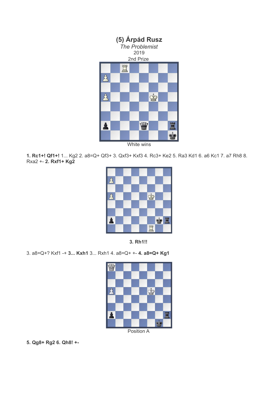

White wins

**1. Rc1+! Qf1+!** 1... Kg2 2. a8=Q+ Qf3+ 3. Qxf3+ Kxf3 4. Rc3+ Ke2 5. Ra3 Kd1 6. a6 Kc1 7. a7 Rh8 8. Rxa2 +- **2. Rxf1+ Kg2**





3. a8=Q+? Kxf1 -+ **3... Kxh1** 3... Rxh1 4. a8=Q+ +- **4. a8=Q+ Kg1** 



**5. Qg8+ Rg2 6. Qh8! +-**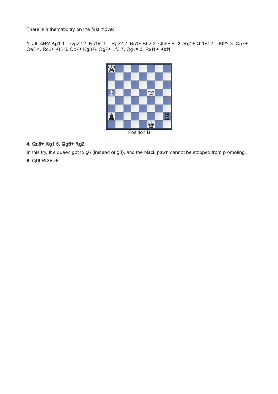There is a thematic try on the first move:

**1. a8=Q+? Kg1** 1... Qg2? 2. Rc1#; 1... Rg2? 2. Rc1+ Kh2 3. Qh8+ +- **2. Rc1+ Qf1+!** 2... Kf2? 3. Qa7+ Qe3 4. Rc2+ Kf3 5. Qb7+ Kg3 6. Qg7+ Kf3 7. Qg4# **3. Rxf1+ Kxf1**



## **4. Qa6+ Kg1 5. Qg6+ Rg2**

In this try, the queen got to g6 (instead of g8), and the black pawn cannot be stopped from promoting.

## **6. Qf6 Rf2+ -+**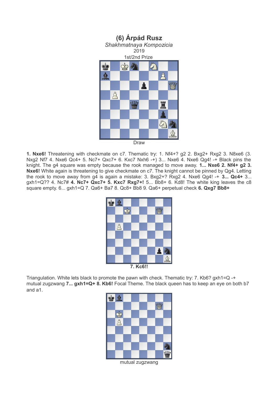

**1. Nxe6!** Threatening with checkmate on c7. Thematic try: 1. Nf4+? g2 2. Bxg2+ Rxg2 3. N8xe6 (3. Nxg2 Nf7 4. Nxe6 Qc4+ 5. Nc7+ Qxc7+ 6. Kxc7 Nxh6 -+) 3... Nxe6 4. Nxe6 Qg4! -+ Black pins the knight. The g4 square was empty because the rook managed to move away. **1... Nxe6 2. Nf4+ g2 3. Nxe6!** White again is threatening to give checkmate on c7. The knight cannot be pinned by Qg4. Letting the rook to move away from g4 is again a mistake: 3. Bxg2+? Rxg2 4. Nxe6 Qg4! -+ **3... Qc4+** 3... gxh1=Q?? 4. Nc7# **4. Nc7+ Qxc7+ 5. Kxc7 Rxg7+!** 5... Bb8+ 6. Kd8! The white king leaves the c8 square empty. 6... gxh1=Q 7. Qa6+ Ba7 8. Qc8+ Bb8 9. Qa6+ perpetual check **6. Qxg7 Bb8+**

| İ        | AD |  |  |  |  |  |    |  |  |
|----------|----|--|--|--|--|--|----|--|--|
|          |    |  |  |  |  |  |    |  |  |
|          |    |  |  |  |  |  |    |  |  |
|          | S, |  |  |  |  |  |    |  |  |
|          |    |  |  |  |  |  |    |  |  |
|          |    |  |  |  |  |  |    |  |  |
|          |    |  |  |  |  |  |    |  |  |
|          |    |  |  |  |  |  | 小白 |  |  |
| 7. Kc6!! |    |  |  |  |  |  |    |  |  |

Triangulation. White lets black to promote the pawn with check. Thematic try: 7. Kb6? gxh1=Q -+ mutual zugzwang **7... gxh1=Q+ 8. Kb6!** Focal Theme. The black queen has to keep an eye on both b7 and a1.



mutual zugzwang